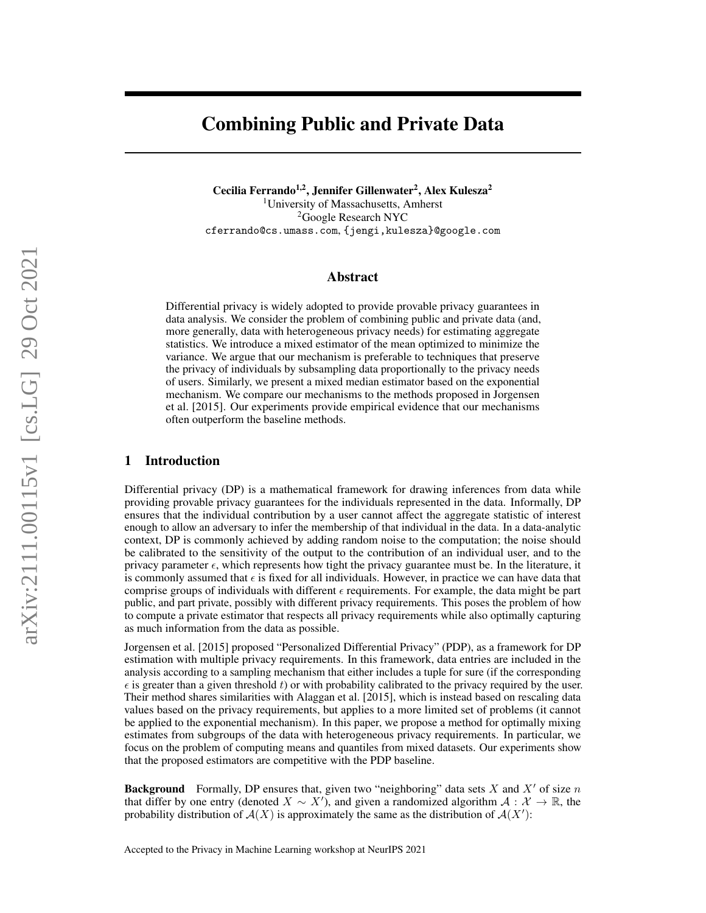# Combining Public and Private Data

Cecilia Ferrando<sup>1,2</sup>, Jennifer Gillenwater<sup>2</sup>, Alex Kulesza<sup>2</sup> <sup>1</sup>University of Massachusetts, Amherst <sup>2</sup>Google Research NYC cferrando@cs.umass.com, {jengi,kulesza}@google.com

#### Abstract

Differential privacy is widely adopted to provide provable privacy guarantees in data analysis. We consider the problem of combining public and private data (and, more generally, data with heterogeneous privacy needs) for estimating aggregate statistics. We introduce a mixed estimator of the mean optimized to minimize the variance. We argue that our mechanism is preferable to techniques that preserve the privacy of individuals by subsampling data proportionally to the privacy needs of users. Similarly, we present a mixed median estimator based on the exponential mechanism. We compare our mechanisms to the methods proposed in [Jorgensen](#page-4-0) [et al.](#page-4-0) [\[2015\]](#page-4-0). Our experiments provide empirical evidence that our mechanisms often outperform the baseline methods.

#### 1 Introduction

Differential privacy (DP) is a mathematical framework for drawing inferences from data while providing provable privacy guarantees for the individuals represented in the data. Informally, DP ensures that the individual contribution by a user cannot affect the aggregate statistic of interest enough to allow an adversary to infer the membership of that individual in the data. In a data-analytic context, DP is commonly achieved by adding random noise to the computation; the noise should be calibrated to the sensitivity of the output to the contribution of an individual user, and to the privacy parameter  $\epsilon$ , which represents how tight the privacy guarantee must be. In the literature, it is commonly assumed that  $\epsilon$  is fixed for all individuals. However, in practice we can have data that comprise groups of individuals with different  $\epsilon$  requirements. For example, the data might be part public, and part private, possibly with different privacy requirements. This poses the problem of how to compute a private estimator that respects all privacy requirements while also optimally capturing as much information from the data as possible.

[Jorgensen et al.](#page-4-0) [\[2015\]](#page-4-0) proposed "Personalized Differential Privacy" (PDP), as a framework for DP estimation with multiple privacy requirements. In this framework, data entries are included in the analysis according to a sampling mechanism that either includes a tuple for sure (if the corresponding  $\epsilon$  is greater than a given threshold t) or with probability calibrated to the privacy required by the user. Their method shares similarities with [Alaggan et al.](#page-4-1) [\[2015\]](#page-4-1), which is instead based on rescaling data values based on the privacy requirements, but applies to a more limited set of problems (it cannot be applied to the exponential mechanism). In this paper, we propose a method for optimally mixing estimates from subgroups of the data with heterogeneous privacy requirements. In particular, we focus on the problem of computing means and quantiles from mixed datasets. Our experiments show that the proposed estimators are competitive with the PDP baseline.

**Background** Formally, DP ensures that, given two "neighboring" data sets X and X' of size n that differ by one entry (denoted  $X \sim X'$ ), and given a randomized algorithm  $A: X \to \mathbb{R}$ , the probability distribution of  $A(X)$  is approximately the same as the distribution of  $A(X')$ :

Accepted to the Privacy in Machine Learning workshop at NeurIPS 2021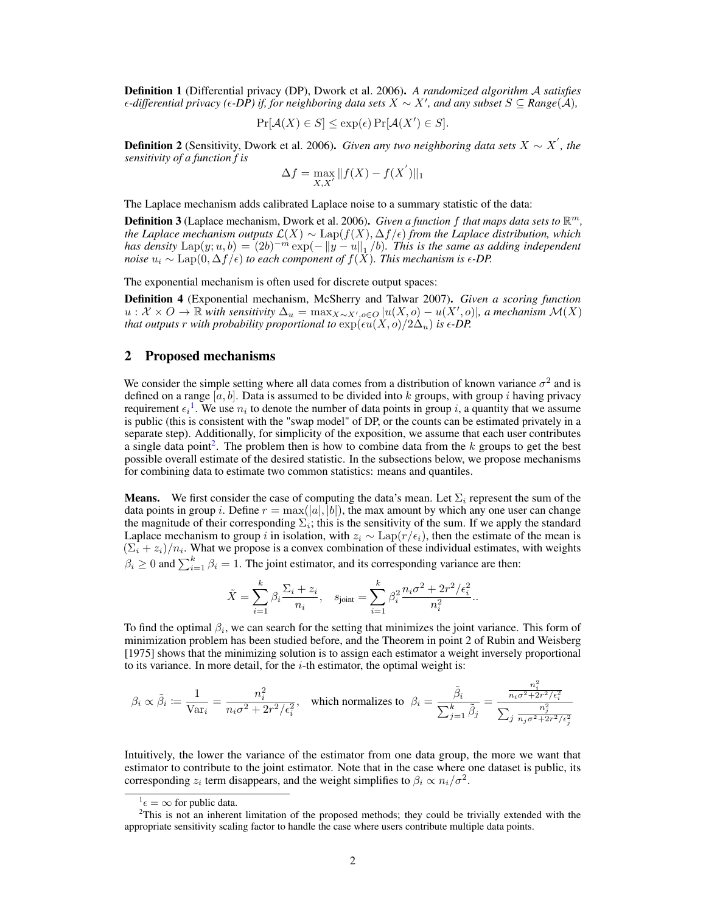Definition 1 (Differential privacy (DP), [Dwork et al.](#page-4-2) [2006\)](#page-4-2). *A randomized algorithm* A *satisfies -differential privacy (-DP) if, for neighboring data sets* X ∼ X<sup>0</sup> *, and any subset* S ⊆ *Range*(A)*,*

$$
\Pr[\mathcal{A}(X) \in S] \le \exp(\epsilon) \Pr[\mathcal{A}(X') \in S].
$$

**Definition 2** (Sensitivity, [Dwork et al.](#page-4-2) [2006\)](#page-4-2). *Given any two neighboring data sets*  $X \sim X'$ , the *sensitivity of a function f is*

$$
\Delta f = \max_{X, X'} \|f(X) - f(X')\|_1
$$

The Laplace mechanism adds calibrated Laplace noise to a summary statistic of the data:

**Definition 3** (Laplace mechanism, [Dwork et al.](#page-4-2) [2006\)](#page-4-2). *Given a function f that maps data sets to*  $\mathbb{R}^m$ , *the Laplace mechanism outputs*  $\mathcal{L}(X) \sim \text{Lap}(f(X), \Delta f/\epsilon)$  *from the Laplace distribution, which has density*  $\text{Lap}(y; u, b) = (2b)^{-m} \exp(-\Vert y - u \Vert_1/b)$ . This is the same as adding independent *noise*  $u_i \sim \text{Lap}(0, \Delta f/\epsilon)$  *to each component of*  $f(\overline{X})$ *. This mechanism is*  $\epsilon$ -*DP.* 

The exponential mechanism is often used for discrete output spaces:

Definition 4 (Exponential mechanism, [McSherry and Talwar](#page-4-3) [2007\)](#page-4-3). *Given a scoring function*  $u: \mathcal{X} \times O \to \mathbb{R}$  with sensitivity  $\Delta_u = \max_{X \sim X', o \in O} |u(X, o) - u(X', o)|$ , a mechanism  $\mathcal{M}(X)$ *that outputs* r *with probability proportional to*  $\exp(\epsilon u(X, o)/2\Delta_u)$  *is*  $\epsilon$ -*DP.* 

#### 2 Proposed mechanisms

We consider the simple setting where all data comes from a distribution of known variance  $\sigma^2$  and is defined on a range  $[a, b]$ . Data is assumed to be divided into k groups, with group i having privacy requirement  $\epsilon_i$ <sup>[1](#page-1-0)</sup>. We use  $n_i$  to denote the number of data points in group i, a quantity that we assume is public (this is consistent with the "swap model" of DP, or the counts can be estimated privately in a separate step). Additionally, for simplicity of the exposition, we assume that each user contributes a single data point<sup>[2](#page-1-1)</sup>. The problem then is how to combine data from the  $k$  groups to get the best possible overall estimate of the desired statistic. In the subsections below, we propose mechanisms for combining data to estimate two common statistics: means and quantiles.

**Means.** We first consider the case of computing the data's mean. Let  $\Sigma_i$  represent the sum of the data points in group i. Define  $r = \max(|a|, |b|)$ , the max amount by which any one user can change the magnitude of their corresponding  $\Sigma_i$ ; this is the sensitivity of the sum. If we apply the standard Laplace mechanism to group i in isolation, with  $z_i \sim \text{Lap}(r/\epsilon_i)$ , then the estimate of the mean is  $(\Sigma_i + z_i)/n_i$ . What we propose is a convex combination of these individual estimates, with weights  $\beta_i \geq 0$  and  $\sum_{i=1}^k \beta_i = 1$ . The joint estimator, and its corresponding variance are then:

$$
\tilde{X} = \sum_{i=1}^{k} \beta_i \frac{\Sigma_i + z_i}{n_i}, \quad s_{\text{joint}} = \sum_{i=1}^{k} \beta_i^2 \frac{n_i \sigma^2 + 2r^2/\epsilon_i^2}{n_i^2}.
$$

To find the optimal  $\beta_i$ , we can search for the setting that minimizes the joint variance. This form of minimization problem has been studied before, and the Theorem in point 2 of [Rubin and Weisberg](#page-4-4) [\[1975\]](#page-4-4) shows that the minimizing solution is to assign each estimator a weight inversely proportional to its variance. In more detail, for the  $i$ -th estimator, the optimal weight is:

$$
\beta_i \propto \tilde{\beta}_i \coloneqq \frac{1}{\text{Var}_i} = \frac{n_i^2}{n_i \sigma^2 + 2r^2/\epsilon_i^2}, \quad \text{which normalizes to} \quad \beta_i = \frac{\tilde{\beta}_i}{\sum_{j=1}^k \tilde{\beta}_j} = \frac{\frac{n_i^2}{n_i \sigma^2 + 2r^2/\epsilon_i^2}}{\sum_j \frac{n_j^2}{n_j \sigma^2 + 2r^2/\epsilon_j^2}}
$$

Intuitively, the lower the variance of the estimator from one data group, the more we want that estimator to contribute to the joint estimator. Note that in the case where one dataset is public, its corresponding  $z_i$  term disappears, and the weight simplifies to  $\beta_i \propto n_i/\sigma^2$ .

<span id="page-1-1"></span><span id="page-1-0"></span> $\theta^1 \epsilon = \infty$  for public data.

<sup>&</sup>lt;sup>2</sup>This is not an inherent limitation of the proposed methods; they could be trivially extended with the appropriate sensitivity scaling factor to handle the case where users contribute multiple data points.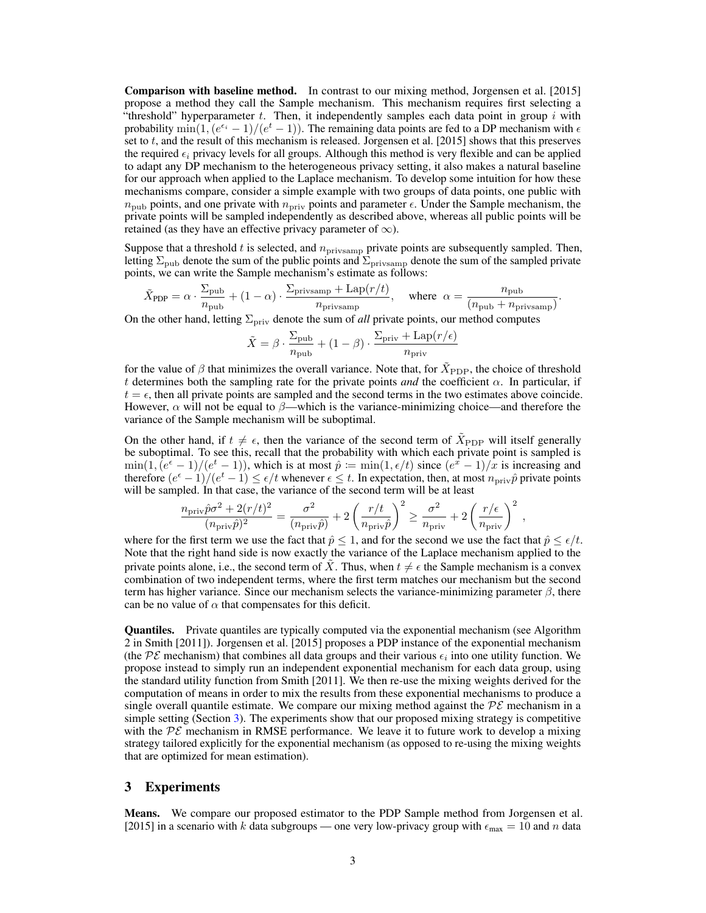Comparison with baseline method. In contrast to our mixing method, [Jorgensen et al.](#page-4-0) [\[2015\]](#page-4-0) propose a method they call the Sample mechanism. This mechanism requires first selecting a "threshold" hyperparameter  $t$ . Then, it independently samples each data point in group  $i$  with probability  $\min(1,(e^{\epsilon_i}-1)/(e^t-1))$ . The remaining data points are fed to a DP mechanism with  $\epsilon$ set to  $t$ , and the result of this mechanism is released. [Jorgensen et al.](#page-4-0) [\[2015\]](#page-4-0) shows that this preserves the required  $\epsilon_i$  privacy levels for all groups. Although this method is very flexible and can be applied to adapt any DP mechanism to the heterogeneous privacy setting, it also makes a natural baseline for our approach when applied to the Laplace mechanism. To develop some intuition for how these mechanisms compare, consider a simple example with two groups of data points, one public with  $n_{\text{pub}}$  points, and one private with  $n_{\text{priv}}$  points and parameter  $\epsilon$ . Under the Sample mechanism, the private points will be sampled independently as described above, whereas all public points will be retained (as they have an effective privacy parameter of  $\infty$ ).

Suppose that a threshold t is selected, and  $n_{\text{priv samp}}$  private points are subsequently sampled. Then, letting  $\Sigma_{\rm pub}$  denote the sum of the public points and  $\Sigma_{\rm privacy}$  denote the sum of the sampled private points, we can write the Sample mechanism's estimate as follows:

$$
\tilde{X}_{\text{PDP}} = \alpha \cdot \frac{\Sigma_{\text{pub}}}{n_{\text{pub}}} + (1 - \alpha) \cdot \frac{\Sigma_{\text{privsamp}} + \text{Lap}(r/t)}{n_{\text{privsamp}}}, \quad \text{where} \quad \alpha = \frac{n_{\text{pub}}}{(n_{\text{pub}} + n_{\text{privsamp}})}.
$$

On the other hand, letting  $\Sigma_{\text{priv}}$  denote the sum of *all* private points, our method computes

$$
\tilde{X} = \beta \cdot \frac{\Sigma_{\text{pub}}}{n_{\text{pub}}} + (1 - \beta) \cdot \frac{\Sigma_{\text{priv}} + \text{Lap}(r/\epsilon)}{n_{\text{priv}}}
$$

for the value of  $\beta$  that minimizes the overall variance. Note that, for  $\tilde{X}_{\text{PDP}}$ , the choice of threshold t determines both the sampling rate for the private points *and* the coefficient  $\alpha$ . In particular, if  $t = \epsilon$ , then all private points are sampled and the second terms in the two estimates above coincide. However,  $\alpha$  will not be equal to  $\beta$ —which is the variance-minimizing choice—and therefore the variance of the Sample mechanism will be suboptimal.

On the other hand, if  $t \neq \epsilon$ , then the variance of the second term of  $\tilde{X}_{\text{PDP}}$  will itself generally be suboptimal. To see this, recall that the probability with which each private point is sampled is  $\min(1, (e^{\epsilon}-1)/(e^t-1))$ , which is at most  $\hat{p} := \min(1, \epsilon/t)$  since  $(e^{\hat{x}}-1)/\hat{x}$  is increasing and therefore  $(e^{\epsilon}-1)/(e^t-1) \leq \epsilon/t$  whenever  $\epsilon \leq t$ . In expectation, then, at most  $n_{\text{priv}}\hat{p}$  private points will be sampled. In that case, the variance of the second term will be at least

$$
\frac{n_{\rm priv}\hat{p}\sigma^2 + 2(r/t)^2}{(n_{\rm priv}\hat{p})^2} = \frac{\sigma^2}{(n_{\rm priv}\hat{p})} + 2\left(\frac{r/t}{n_{\rm priv}\hat{p}}\right)^2 \ge \frac{\sigma^2}{n_{\rm priv}} + 2\left(\frac{r/\epsilon}{n_{\rm priv}}\right)^2,
$$

where for the first term we use the fact that  $\hat{p} \leq 1$ , and for the second we use the fact that  $\hat{p} \leq \epsilon/t$ . Note that the right hand side is now exactly the variance of the Laplace mechanism applied to the private points alone, i.e., the second term of  $\tilde{X}$ . Thus, when  $t \neq \epsilon$  the Sample mechanism is a convex combination of two independent terms, where the first term matches our mechanism but the second term has higher variance. Since our mechanism selects the variance-minimizing parameter  $\beta$ , there can be no value of  $\alpha$  that compensates for this deficit.

Quantiles. Private quantiles are typically computed via the exponential mechanism (see Algorithm 2 in [Smith](#page-4-5) [\[2011\]](#page-4-5)). [Jorgensen et al.](#page-4-0) [\[2015\]](#page-4-0) proposes a PDP instance of the exponential mechanism (the PE mechanism) that combines all data groups and their various  $\epsilon_i$  into one utility function. We propose instead to simply run an independent exponential mechanism for each data group, using the standard utility function from [Smith](#page-4-5) [\[2011\]](#page-4-5). We then re-use the mixing weights derived for the computation of means in order to mix the results from these exponential mechanisms to produce a single overall quantile estimate. We compare our mixing method against the  $\mathcal{PE}$  mechanism in a simple setting (Section [3\)](#page-2-0). The experiments show that our proposed mixing strategy is competitive with the  $\mathcal{PE}$  mechanism in RMSE performance. We leave it to future work to develop a mixing strategy tailored explicitly for the exponential mechanism (as opposed to re-using the mixing weights that are optimized for mean estimation).

#### <span id="page-2-0"></span>3 Experiments

Means. We compare our proposed estimator to the PDP Sample method from [Jorgensen et al.](#page-4-0) [\[2015\]](#page-4-0) in a scenario with k data subgroups — one very low-privacy group with  $\epsilon_{\text{max}} = 10$  and n data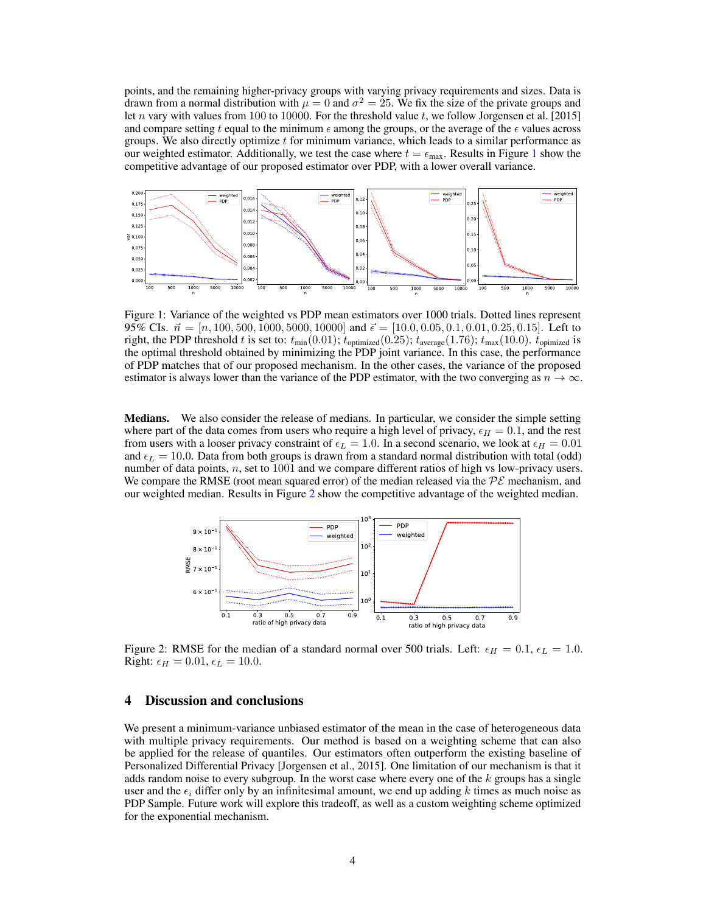points, and the remaining higher-privacy groups with varying privacy requirements and sizes. Data is drawn from a normal distribution with  $\mu = 0$  and  $\sigma^2 = 25$ . We fix the size of the private groups and let n vary with values from 100 to 10000. For the threshold value t, we follow [Jorgensen et al.](#page-4-0) [\[2015\]](#page-4-0) and compare setting t equal to the minimum  $\epsilon$  among the groups, or the average of the  $\epsilon$  values across groups. We also directly optimize  $t$  for minimum variance, which leads to a similar performance as our weighted estimator. Additionally, we test the case where  $t = \epsilon_{\text{max}}$ . Results in Figure [1](#page-3-0) show the competitive advantage of our proposed estimator over PDP, with a lower overall variance.



<span id="page-3-0"></span>Figure 1: Variance of the weighted vs PDP mean estimators over 1000 trials. Dotted lines represent 95% CIs.  $\vec{n} = [n, 100, 500, 1000, 5000, 10000]$  and  $\vec{\epsilon} = [10.0, 0.05, 0.1, 0.01, 0.25, 0.15]$ . Left to right, the PDP threshold t is set to:  $t_{min}(0.01)$ ;  $t_{\text{optimized}}(0.25)$ ;  $t_{\text{average}}(1.76)$ ;  $t_{\text{max}}(10.0)$ .  $t_{\text{opimized}}$  is the optimal threshold obtained by minimizing the PDP joint variance. In this case, the performance of PDP matches that of our proposed mechanism. In the other cases, the variance of the proposed estimator is always lower than the variance of the PDP estimator, with the two converging as  $n \to \infty$ .

Medians. We also consider the release of medians. In particular, we consider the simple setting where part of the data comes from users who require a high level of privacy,  $\epsilon_H = 0.1$ , and the rest from users with a looser privacy constraint of  $\epsilon_L = 1.0$ . In a second scenario, we look at  $\epsilon_H = 0.01$ and  $\epsilon_L = 10.0$ . Data from both groups is drawn from a standard normal distribution with total (odd) number of data points,  $n$ , set to 1001 and we compare different ratios of high vs low-privacy users. We compare the RMSE (root mean squared error) of the median released via the  $P\mathcal{E}$  mechanism, and our weighted median. Results in Figure [2](#page-3-1) show the competitive advantage of the weighted median.



<span id="page-3-1"></span>Figure 2: RMSE for the median of a standard normal over 500 trials. Left:  $\epsilon_H = 0.1$ ,  $\epsilon_L = 1.0$ . Right:  $\epsilon_H = 0.01$ ,  $\epsilon_L = 10.0$ .

### 4 Discussion and conclusions

We present a minimum-variance unbiased estimator of the mean in the case of heterogeneous data with multiple privacy requirements. Our method is based on a weighting scheme that can also be applied for the release of quantiles. Our estimators often outperform the existing baseline of Personalized Differential Privacy [\[Jorgensen et al.,](#page-4-0) [2015\]](#page-4-0). One limitation of our mechanism is that it adds random noise to every subgroup. In the worst case where every one of the  $k$  groups has a single user and the  $\epsilon_i$  differ only by an infinitesimal amount, we end up adding k times as much noise as PDP Sample. Future work will explore this tradeoff, as well as a custom weighting scheme optimized for the exponential mechanism.